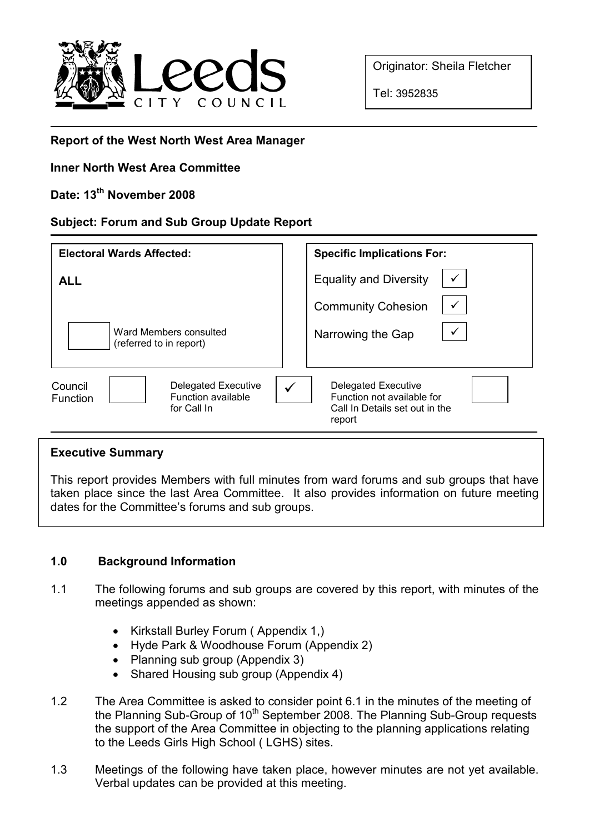

Originator: Sheila Fletcher

Tel: 3952835

## Report of the West North West Area Manager

### Inner North West Area Committee

# Date: 13<sup>th</sup> November 2008

### Subject: Forum and Sub Group Update Report

| <b>Electoral Wards Affected:</b>                                                       | <b>Specific Implications For:</b>                                                                         |
|----------------------------------------------------------------------------------------|-----------------------------------------------------------------------------------------------------------|
| <b>ALL</b>                                                                             | <b>Equality and Diversity</b>                                                                             |
|                                                                                        | <b>Community Cohesion</b>                                                                                 |
| Ward Members consulted<br>(referred to in report)                                      | Narrowing the Gap                                                                                         |
| <b>Delegated Executive</b><br>Council<br>Function available<br>Function<br>for Call In | <b>Delegated Executive</b><br>✓<br>Function not available for<br>Call In Details set out in the<br>report |

#### Executive Summary

This report provides Members with full minutes from ward forums and sub groups that have taken place since the last Area Committee. It also provides information on future meeting dates for the Committee's forums and sub groups.

### 1.0 Background Information

- 1.1 The following forums and sub groups are covered by this report, with minutes of the meetings appended as shown:
	- Kirkstall Burley Forum ( Appendix 1,)
	- Hyde Park & Woodhouse Forum (Appendix 2)
	- Planning sub group (Appendix 3)
	- Shared Housing sub group (Appendix 4)
- 1.2 The Area Committee is asked to consider point 6.1 in the minutes of the meeting of the Planning Sub-Group of 10<sup>th</sup> September 2008. The Planning Sub-Group requests the support of the Area Committee in objecting to the planning applications relating to the Leeds Girls High School ( LGHS) sites.
- 1.3 Meetings of the following have taken place, however minutes are not yet available. Verbal updates can be provided at this meeting.